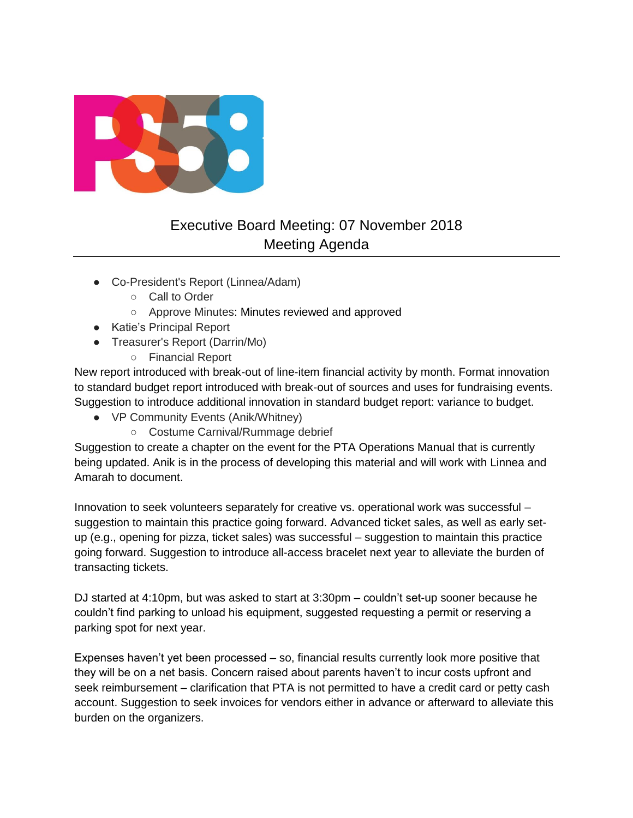

# Executive Board Meeting: 07 November 2018 Meeting Agenda

- Co-President's Report (Linnea/Adam)
	- Call to Order
	- Approve Minutes: Minutes reviewed and approved
- Katie's Principal Report
- Treasurer's Report (Darrin/Mo)
	- Financial Report

New report introduced with break-out of line-item financial activity by month. Format innovation to standard budget report introduced with break-out of sources and uses for fundraising events. Suggestion to introduce additional innovation in standard budget report: variance to budget.

- VP Community Events (Anik/Whitney)
	- Costume Carnival/Rummage debrief

Suggestion to create a chapter on the event for the PTA Operations Manual that is currently being updated. Anik is in the process of developing this material and will work with Linnea and Amarah to document.

Innovation to seek volunteers separately for creative vs. operational work was successful – suggestion to maintain this practice going forward. Advanced ticket sales, as well as early setup (e.g., opening for pizza, ticket sales) was successful – suggestion to maintain this practice going forward. Suggestion to introduce all-access bracelet next year to alleviate the burden of transacting tickets.

DJ started at 4:10pm, but was asked to start at 3:30pm – couldn't set-up sooner because he couldn't find parking to unload his equipment, suggested requesting a permit or reserving a parking spot for next year.

Expenses haven't yet been processed – so, financial results currently look more positive that they will be on a net basis. Concern raised about parents haven't to incur costs upfront and seek reimbursement – clarification that PTA is not permitted to have a credit card or petty cash account. Suggestion to seek invoices for vendors either in advance or afterward to alleviate this burden on the organizers.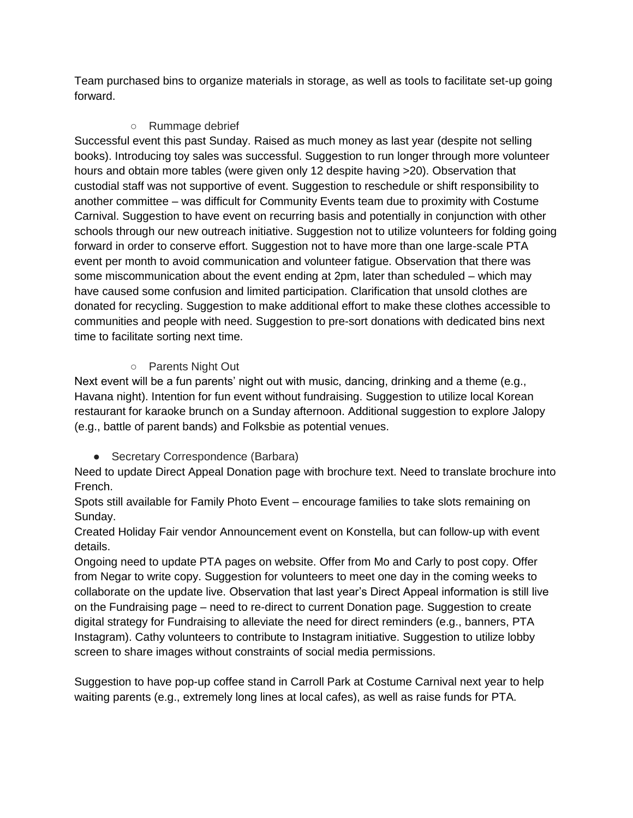Team purchased bins to organize materials in storage, as well as tools to facilitate set-up going forward.

#### ○ Rummage debrief

Successful event this past Sunday. Raised as much money as last year (despite not selling books). Introducing toy sales was successful. Suggestion to run longer through more volunteer hours and obtain more tables (were given only 12 despite having >20). Observation that custodial staff was not supportive of event. Suggestion to reschedule or shift responsibility to another committee – was difficult for Community Events team due to proximity with Costume Carnival. Suggestion to have event on recurring basis and potentially in conjunction with other schools through our new outreach initiative. Suggestion not to utilize volunteers for folding going forward in order to conserve effort. Suggestion not to have more than one large-scale PTA event per month to avoid communication and volunteer fatigue. Observation that there was some miscommunication about the event ending at 2pm, later than scheduled – which may have caused some confusion and limited participation. Clarification that unsold clothes are donated for recycling. Suggestion to make additional effort to make these clothes accessible to communities and people with need. Suggestion to pre-sort donations with dedicated bins next time to facilitate sorting next time.

#### ○ Parents Night Out

Next event will be a fun parents' night out with music, dancing, drinking and a theme (e.g., Havana night). Intention for fun event without fundraising. Suggestion to utilize local Korean restaurant for karaoke brunch on a Sunday afternoon. Additional suggestion to explore Jalopy (e.g., battle of parent bands) and Folksbie as potential venues.

● Secretary Correspondence (Barbara)

Need to update Direct Appeal Donation page with brochure text. Need to translate brochure into French.

Spots still available for Family Photo Event – encourage families to take slots remaining on Sunday.

Created Holiday Fair vendor Announcement event on Konstella, but can follow-up with event details.

Ongoing need to update PTA pages on website. Offer from Mo and Carly to post copy. Offer from Negar to write copy. Suggestion for volunteers to meet one day in the coming weeks to collaborate on the update live. Observation that last year's Direct Appeal information is still live on the Fundraising page – need to re-direct to current Donation page. Suggestion to create digital strategy for Fundraising to alleviate the need for direct reminders (e.g., banners, PTA Instagram). Cathy volunteers to contribute to Instagram initiative. Suggestion to utilize lobby screen to share images without constraints of social media permissions.

Suggestion to have pop-up coffee stand in Carroll Park at Costume Carnival next year to help waiting parents (e.g., extremely long lines at local cafes), as well as raise funds for PTA.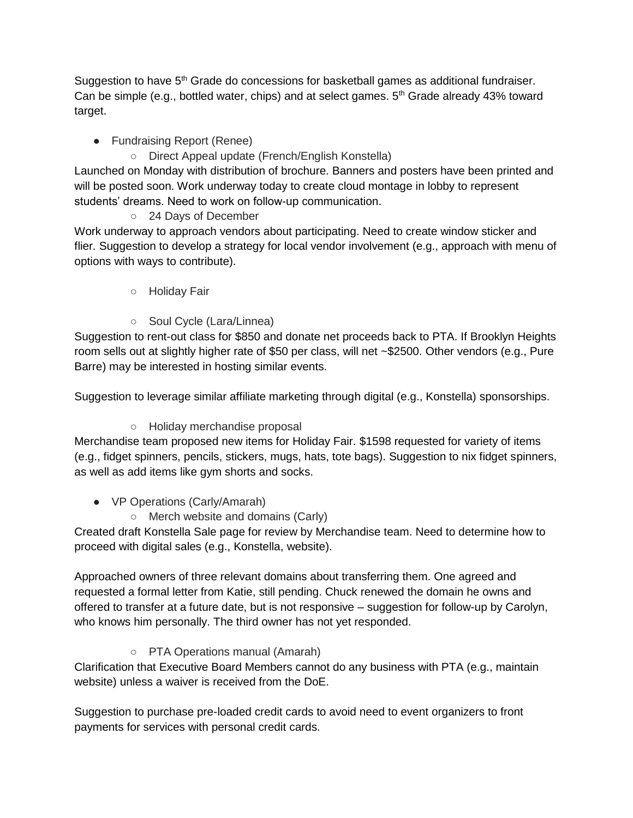Suggestion to have 5<sup>th</sup> Grade do concessions for basketball games as additional fundraiser. Can be simple (e.g., bottled water, chips) and at select games.  $5<sup>th</sup>$  Grade already 43% toward target.

### ● Fundraising Report (Renee)

○ Direct Appeal update (French/English Konstella)

Launched on Monday with distribution of brochure. Banners and posters have been printed and will be posted soon. Work underway today to create cloud montage in lobby to represent students' dreams. Need to work on follow-up communication.

○ 24 Days of December

Work underway to approach vendors about participating. Need to create window sticker and flier. Suggestion to develop a strategy for local vendor involvement (e.g., approach with menu of options with ways to contribute).

- Holiday Fair
- Soul Cycle (Lara/Linnea)

Suggestion to rent-out class for \$850 and donate net proceeds back to PTA. If Brooklyn Heights room sells out at slightly higher rate of \$50 per class, will net ~\$2500. Other vendors (e.g., Pure Barre) may be interested in hosting similar events.

Suggestion to leverage similar affiliate marketing through digital (e.g., Konstella) sponsorships.

#### ○ Holiday merchandise proposal

Merchandise team proposed new items for Holiday Fair. \$1598 requested for variety of items (e.g., fidget spinners, pencils, stickers, mugs, hats, tote bags). Suggestion to nix fidget spinners, as well as add items like gym shorts and socks.

## • VP Operations (Carly/Amarah)

○ Merch website and domains (Carly)

Created draft Konstella Sale page for review by Merchandise team. Need to determine how to proceed with digital sales (e.g., Konstella, website).

Approached owners of three relevant domains about transferring them. One agreed and requested a formal letter from Katie, still pending. Chuck renewed the domain he owns and offered to transfer at a future date, but is not responsive – suggestion for follow-up by Carolyn, who knows him personally. The third owner has not yet responded.

○ PTA Operations manual (Amarah)

Clarification that Executive Board Members cannot do any business with PTA (e.g., maintain website) unless a waiver is received from the DoE.

Suggestion to purchase pre-loaded credit cards to avoid need to event organizers to front payments for services with personal credit cards.